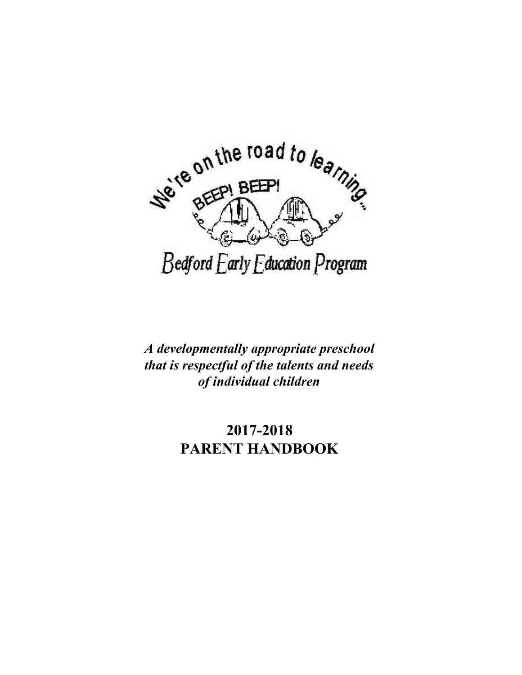

*A developmentally appropriate preschool that is respectful of the talents and needs of individual children*

# **2017-2018 PARENT HANDBOOK**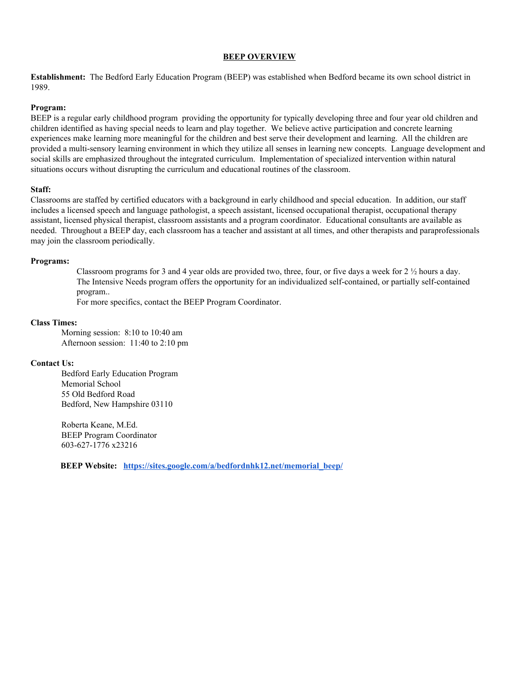## **BEEP OVERVIEW**

**Establishment:** The Bedford Early Education Program (BEEP) was established when Bedford became its own school district in 1989.

# **Program:**

BEEP is a regular early childhood program providing the opportunity for typically developing three and four year old children and children identified as having special needs to learn and play together. We believe active participation and concrete learning experiences make learning more meaningful for the children and best serve their development and learning. All the children are provided a multi-sensory learning environment in which they utilize all senses in learning new concepts. Language development and social skills are emphasized throughout the integrated curriculum. Implementation of specialized intervention within natural situations occurs without disrupting the curriculum and educational routines of the classroom.

#### **Staff:**

Classrooms are staffed by certified educators with a background in early childhood and special education. In addition, our staff includes a licensed speech and language pathologist, a speech assistant, licensed occupational therapist, occupational therapy assistant, licensed physical therapist, classroom assistants and a program coordinator. Educational consultants are available as needed. Throughout a BEEP day, each classroom has a teacher and assistant at all times, and other therapists and paraprofessionals may join the classroom periodically.

#### **Programs:**

Classroom programs for 3 and 4 year olds are provided two, three, four, or five days a week for 2 ½ hours a day. The Intensive Needs program offers the opportunity for an individualized self-contained, or partially self-contained program..

For more specifics, contact the BEEP Program Coordinator.

## **Class Times:**

Morning session: 8:10 to 10:40 am Afternoon session: 11:40 to 2:10 pm

# **Contact Us:**

Bedford Early Education Program Memorial School 55 Old Bedford Road Bedford, New Hampshire 03110

Roberta Keane, M.Ed. BEEP Program Coordinator 603-627-1776 x23216

**BEEP Website: [https://sites.google.com/a/bedfordnhk12.net/memorial\\_beep/](https://sites.google.com/a/bedfordnhk12.net/memorial_beep/)**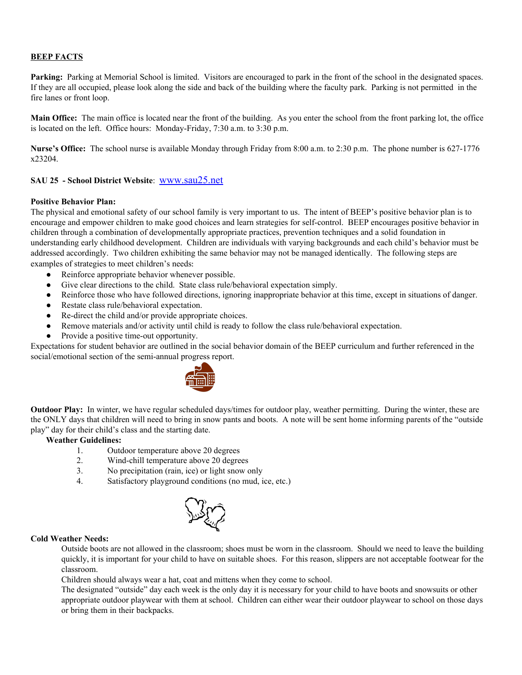# **BEEP FACTS**

**Parking:** Parking at Memorial School is limited. Visitors are encouraged to park in the front of the school in the designated spaces. If they are all occupied, please look along the side and back of the building where the faculty park. Parking is not permitted in the fire lanes or front loop.

**Main Office:** The main office is located near the front of the building. As you enter the school from the front parking lot, the office is located on the left. Office hours: Monday-Friday, 7:30 a.m. to 3:30 p.m.

**Nurse's Office:** The school nurse is available Monday through Friday from 8:00 a.m. to 2:30 p.m. The phone number is 627-1776 x23204.

# **SAU <sup>25</sup> - School District Website**: [www.sau25.net](http://www.sau25.net/)

#### **Positive Behavior Plan:**

The physical and emotional safety of our school family is very important to us. The intent of BEEP's positive behavior plan is to encourage and empower children to make good choices and learn strategies for self-control. BEEP encourages positive behavior in children through a combination of developmentally appropriate practices, prevention techniques and a solid foundation in understanding early childhood development. Children are individuals with varying backgrounds and each child's behavior must be addressed accordingly. Two children exhibiting the same behavior may not be managed identically. The following steps are examples of strategies to meet children's needs:

- Reinforce appropriate behavior whenever possible.
- Give clear directions to the child. State class rule/behavioral expectation simply.
- Reinforce those who have followed directions, ignoring inappropriate behavior at this time, except in situations of danger.
- Restate class rule/behavioral expectation.
- Re-direct the child and/or provide appropriate choices.
- Remove materials and/or activity until child is ready to follow the class rule/behavioral expectation.
- Provide a positive time-out opportunity.

Expectations for student behavior are outlined in the social behavior domain of the BEEP curriculum and further referenced in the social/emotional section of the semi-annual progress report.



**Outdoor Play:** In winter, we have regular scheduled days/times for outdoor play, weather permitting. During the winter, these are the ONLY days that children will need to bring in snow pants and boots. A note will be sent home informing parents of the "outside play" day for their child's class and the starting date.

#### **Weather Guidelines:**

- 1. Outdoor temperature above 20 degrees
- 2. Wind-chill temperature above 20 degrees
- 3. No precipitation (rain, ice) or light snow only
- 4. Satisfactory playground conditions (no mud, ice, etc.)



#### **Cold Weather Needs:**

Outside boots are not allowed in the classroom; shoes must be worn in the classroom. Should we need to leave the building quickly, it is important for your child to have on suitable shoes. For this reason, slippers are not acceptable footwear for the classroom.

Children should always wear a hat, coat and mittens when they come to school.

The designated "outside" day each week is the only day it is necessary for your child to have boots and snowsuits or other appropriate outdoor playwear with them at school. Children can either wear their outdoor playwear to school on those days or bring them in their backpacks.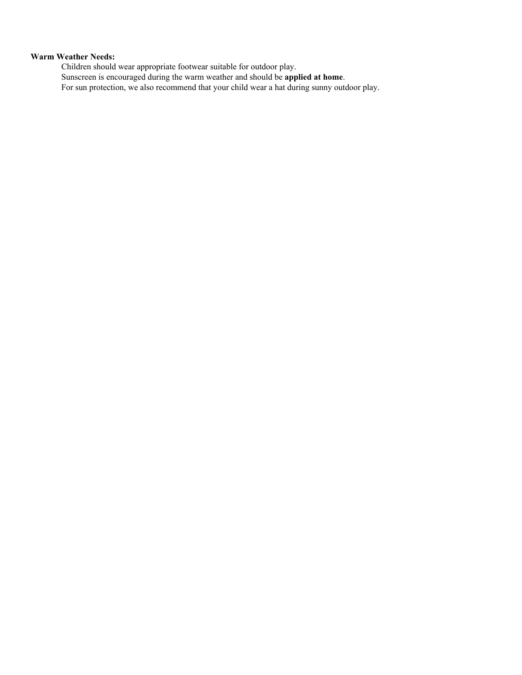# **Warm Weather Needs:**

Children should wear appropriate footwear suitable for outdoor play. Sunscreen is encouraged during the warm weather and should be **applied at home**. For sun protection, we also recommend that your child wear a hat during sunny outdoor play.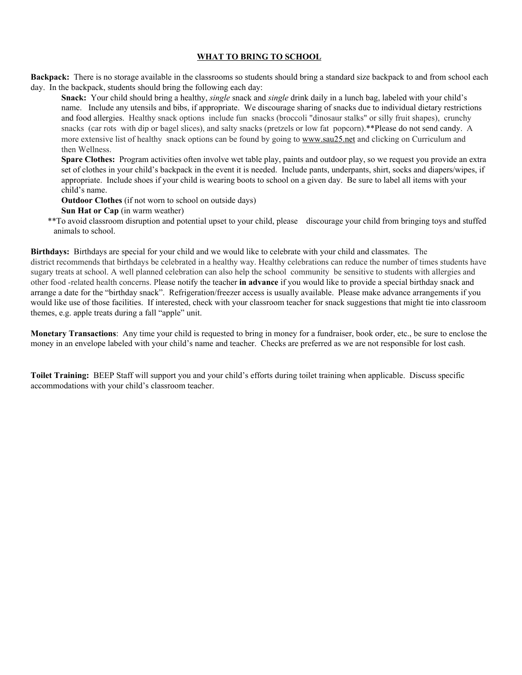# **WHAT TO BRING TO SCHOOL**

**Backpack:** There is no storage available in the classrooms so students should bring a standard size backpack to and from school each day. In the backpack, students should bring the following each day:

**Snack:** Your child should bring a healthy, *single* snack and *single* drink daily in a lunch bag, labeled with your child's name. Include any utensils and bibs, if appropriate. We discourage sharing of snacks due to individual dietary restrictions and food allergies. Healthy snack options include fun snacks (broccoli "dinosaur stalks" or silly fruit shapes), crunchy snacks (car rots with dip or bagel slices), and salty snacks (pretzels or low fat popcorn).\*\*Please do not send candy. A more extensive list of healthy snack options can be found by going to [www.sau25.net](http://www.sau25.net/) and clicking on Curriculum and then Wellness.

**Spare Clothes:** Program activities often involve wet table play, paints and outdoor play, so we request you provide an extra set of clothes in your child's backpack in the event it is needed. Include pants, underpants, shirt, socks and diapers/wipes, if appropriate. Include shoes if your child is wearing boots to school on a given day. Be sure to label all items with your child's name.

**Outdoor Clothes** (if not worn to school on outside days)

**Sun Hat or Cap** (in warm weather)

\*\*To avoid classroom disruption and potential upset to your child, please discourage your child from bringing toys and stuffed animals to school.

**Birthdays:** Birthdays are special for your child and we would like to celebrate with your child and classmates. The district recommends that birthdays be celebrated in a healthy way. Healthy celebrations can reduce the number of times students have sugary treats at school. A well planned celebration can also help the school community be sensitive to students with allergies and other food -related health concerns. Please notify the teacher **in advance** if you would like to provide a special birthday snack and arrange a date for the "birthday snack". Refrigeration/freezer access is usually available. Please make advance arrangements if you would like use of those facilities. If interested, check with your classroom teacher for snack suggestions that might tie into classroom themes, e.g. apple treats during a fall "apple" unit.

**Monetary Transactions**: Any time your child is requested to bring in money for a fundraiser, book order, etc., be sure to enclose the money in an envelope labeled with your child's name and teacher. Checks are preferred as we are not responsible for lost cash.

**Toilet Training:** BEEP Staff will support you and your child's efforts during toilet training when applicable. Discuss specific accommodations with your child's classroom teacher.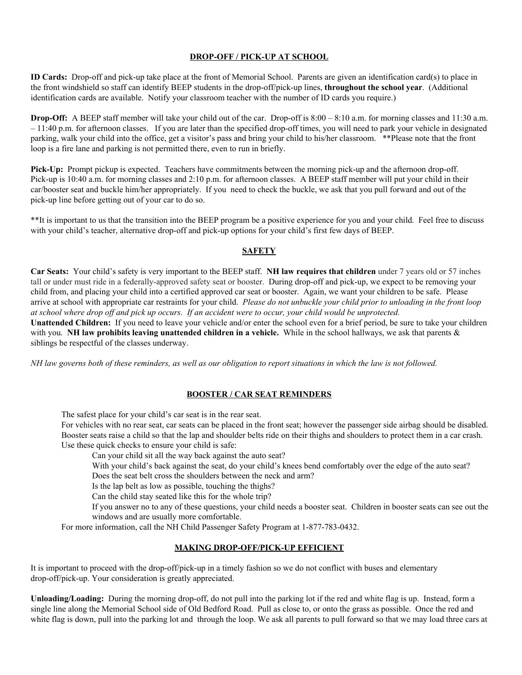# **DROP-OFF / PICK-UP AT SCHOOL**

**ID Cards:** Drop-off and pick-up take place at the front of Memorial School. Parents are given an identification card(s) to place in the front windshield so staff can identify BEEP students in the drop-off/pick-up lines, **throughout the school year**. (Additional identification cards are available. Notify your classroom teacher with the number of ID cards you require.)

**Drop-Off:** A BEEP staff member will take your child out of the car. Drop-off is  $8:00 - 8:10$  a.m. for morning classes and 11:30 a.m. – 11:40 p.m. for afternoon classes. If you are later than the specified drop-off times, you will need to park your vehicle in designated parking, walk your child into the office, get a visitor's pass and bring your child to his/her classroom. \*\*Please note that the front loop is a fire lane and parking is not permitted there, even to run in briefly.

**Pick-Up:** Prompt pickup is expected. Teachers have commitments between the morning pick-up and the afternoon drop-off. Pick-up is 10:40 a.m. for morning classes and 2:10 p.m. for afternoon classes. A BEEP staff member will put your child in their car/booster seat and buckle him/her appropriately. If you need to check the buckle, we ask that you pull forward and out of the pick-up line before getting out of your car to do so.

\*\*It is important to us that the transition into the BEEP program be a positive experience for you and your child. Feel free to discuss with your child's teacher, alternative drop-off and pick-up options for your child's first few days of BEEP.

# **SAFETY**

**Car Seats:** Your child's safety is very important to the BEEP staff. **NH law requires that children** under 7 years old or 57 inches tall or under must ride in a federally-approved safety seat or booster. During drop-off and pick-up, we expect to be removing your child from, and placing your child into a certified approved car seat or booster. Again, we want your children to be safe. Please arrive at school with appropriate car restraints for your child. Please do not unbuckle your child prior to unloading in the front loop at school where drop off and pick up occurs. If an accident were to occur, your child would be unprotected. **Unattended Children:** If you need to leave your vehicle and/or enter the school even for a brief period, be sure to take your children with you. **NH law prohibits leaving unattended children in a vehicle.** While in the school hallways, we ask that parents & siblings be respectful of the classes underway.

NH law governs both of these reminders, as well as our obligation to report situations in which the law is not followed.

# **BOOSTER / CAR SEAT REMINDERS**

The safest place for your child's car seat is in the rear seat.

For vehicles with no rear seat, car seats can be placed in the front seat; however the passenger side airbag should be disabled. Booster seats raise a child so that the lap and shoulder belts ride on their thighs and shoulders to protect them in a car crash. Use these quick checks to ensure your child is safe:

Can your child sit all the way back against the auto seat?

With your child's back against the seat, do your child's knees bend comfortably over the edge of the auto seat?

Does the seat belt cross the shoulders between the neck and arm?

Is the lap belt as low as possible, touching the thighs?

Can the child stay seated like this for the whole trip?

If you answer no to any of these questions, your child needs a booster seat. Children in booster seats can see out the windows and are usually more comfortable.

For more information, call the NH Child Passenger Safety Program at 1-877-783-0432.

# **MAKING DROP-OFF/PICK-UP EFFICIENT**

It is important to proceed with the drop-off/pick-up in a timely fashion so we do not conflict with buses and elementary drop-off/pick-up. Your consideration is greatly appreciated.

**Unloading/Loading:** During the morning drop-off, do not pull into the parking lot if the red and white flag is up. Instead, form a single line along the Memorial School side of Old Bedford Road. Pull as close to, or onto the grass as possible. Once the red and white flag is down, pull into the parking lot and through the loop. We ask all parents to pull forward so that we may load three cars at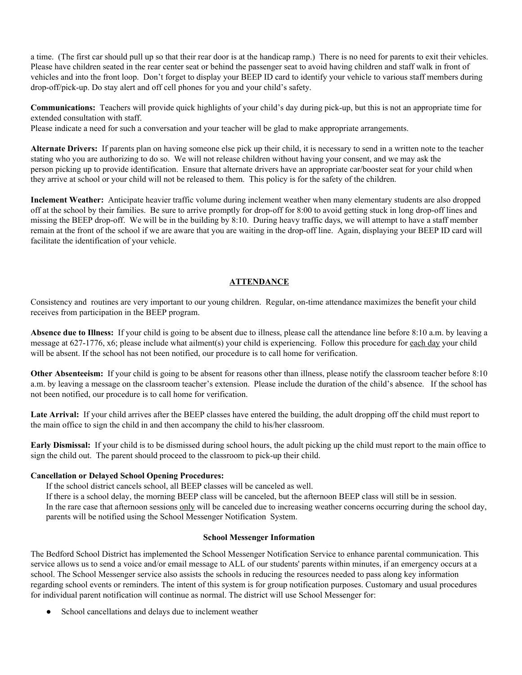a time. (The first car should pull up so that their rear door is at the handicap ramp.) There is no need for parents to exit their vehicles. Please have children seated in the rear center seat or behind the passenger seat to avoid having children and staff walk in front of vehicles and into the front loop. Don't forget to display your BEEP ID card to identify your vehicle to various staff members during drop-off/pick-up. Do stay alert and off cell phones for you and your child's safety.

**Communications:** Teachers will provide quick highlights of your child's day during pick-up, but this is not an appropriate time for extended consultation with staff.

Please indicate a need for such a conversation and your teacher will be glad to make appropriate arrangements.

**Alternate Drivers:** If parents plan on having someone else pick up their child, it is necessary to send in a written note to the teacher stating who you are authorizing to do so. We will not release children without having your consent, and we may ask the person picking up to provide identification. Ensure that alternate drivers have an appropriate car/booster seat for your child when they arrive at school or your child will not be released to them. This policy is for the safety of the children.

**Inclement Weather:** Anticipate heavier traffic volume during inclement weather when many elementary students are also dropped off at the school by their families. Be sure to arrive promptly for drop-off for 8:00 to avoid getting stuck in long drop-off lines and missing the BEEP drop-off. We will be in the building by 8:10. During heavy traffic days, we will attempt to have a staff member remain at the front of the school if we are aware that you are waiting in the drop-off line. Again, displaying your BEEP ID card will facilitate the identification of your vehicle.

# **ATTENDANCE**

Consistency and routines are very important to our young children. Regular, on-time attendance maximizes the benefit your child receives from participation in the BEEP program.

**Absence due to Illness:** If your child is going to be absent due to illness, please call the attendance line before 8:10 a.m. by leaving a message at 627-1776, x6; please include what ailment(s) your child is experiencing. Follow this procedure for each day your child will be absent. If the school has not been notified, our procedure is to call home for verification.

**Other Absenteeism:** If your child is going to be absent for reasons other than illness, please notify the classroom teacher before 8:10 a.m. by leaving a message on the classroom teacher's extension. Please include the duration of the child's absence. If the school has not been notified, our procedure is to call home for verification.

Late Arrival: If your child arrives after the BEEP classes have entered the building, the adult dropping off the child must report to the main office to sign the child in and then accompany the child to his/her classroom.

**Early Dismissal:** If your child is to be dismissed during school hours, the adult picking up the child must report to the main office to sign the child out. The parent should proceed to the classroom to pick-up their child.

# **Cancellation or Delayed School Opening Procedures:**

If the school district cancels school, all BEEP classes will be canceled as well.

If there is a school delay, the morning BEEP class will be canceled, but the afternoon BEEP class will still be in session. In the rare case that afternoon sessions only will be canceled due to increasing weather concerns occurring during the school day, parents will be notified using the School Messenger Notification System.

#### **School Messenger Information**

The Bedford School District has implemented the School Messenger Notification Service to enhance parental communication. This service allows us to send a voice and/or email message to ALL of our students' parents within minutes, if an emergency occurs at a school. The School Messenger service also assists the schools in reducing the resources needed to pass along key information regarding school events or reminders. The intent of this system is for group notification purposes. Customary and usual procedures for individual parent notification will continue as normal. The district will use School Messenger for:

School cancellations and delays due to inclement weather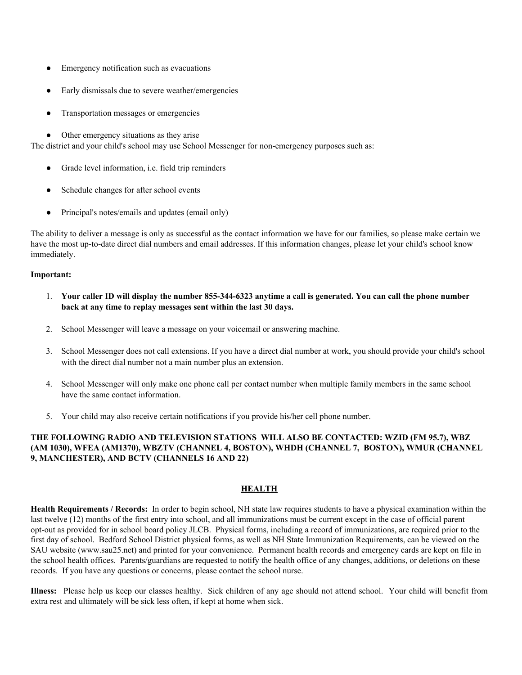- Emergency notification such as evacuations
- Early dismissals due to severe weather/emergencies
- Transportation messages or emergencies
- Other emergency situations as they arise

The district and your child's school may use School Messenger for non-emergency purposes such as:

- Grade level information, i.e. field trip reminders
- Schedule changes for after school events
- Principal's notes/emails and updates (email only)

The ability to deliver a message is only as successful as the contact information we have for our families, so please make certain we have the most up-to-date direct dial numbers and email addresses. If this information changes, please let your child's school know immediately.

# **Important:**

- 1. Your caller ID will display the number 855-344-6323 anytime a call is generated. You can call the phone number **back at any time to replay messages sent within the last 30 days.**
- 2. School Messenger will leave a message on your voicemail or answering machine.
- 3. School Messenger does not call extensions. If you have a direct dial number at work, you should provide your child's school with the direct dial number not a main number plus an extension.
- 4. School Messenger will only make one phone call per contact number when multiple family members in the same school have the same contact information.
- 5. Your child may also receive certain notifications if you provide his/her cell phone number.

# **THE FOLLOWING RADIO AND TELEVISION STATIONS WILL ALSO BE CONTACTED: WZID (FM 95.7), WBZ (AM 1030), WFEA (AM1370), WBZTV (CHANNEL 4, BOSTON), WHDH (CHANNEL 7, BOSTON), WMUR (CHANNEL 9, MANCHESTER), AND BCTV (CHANNELS 16 AND 22)**

# **HEALTH**

**Health Requirements / Records:** In order to begin school, NH state law requires students to have a physical examination within the last twelve (12) months of the first entry into school, and all immunizations must be current except in the case of official parent opt-out as provided for in school board policy JLCB. Physical forms, including a record of immunizations, are required prior to the first day of school. Bedford School District physical forms, as well as NH State Immunization Requirements, can be viewed on the SAU website (www.sau25.net) and printed for your convenience. Permanent health records and emergency cards are kept on file in the school health offices. Parents/guardians are requested to notify the health office of any changes, additions, or deletions on these records. If you have any questions or concerns, please contact the school nurse.

**Illness:** Please help us keep our classes healthy. Sick children of any age should not attend school. Your child will benefit from extra rest and ultimately will be sick less often, if kept at home when sick.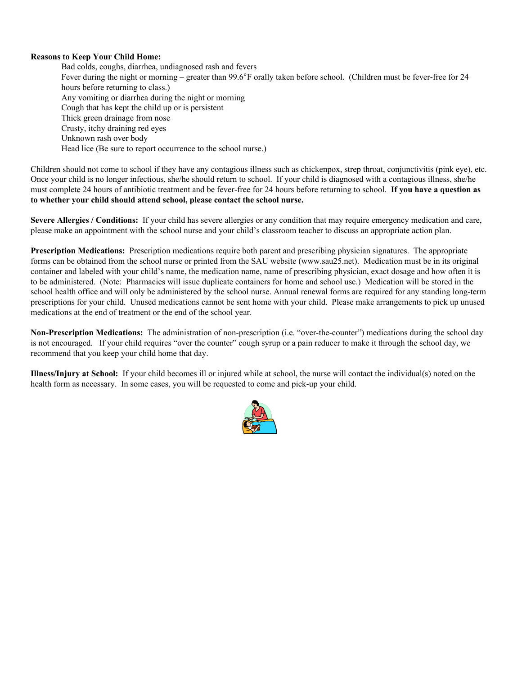# **Reasons to Keep Your Child Home:**

Bad colds, coughs, diarrhea, undiagnosed rash and fevers Fever during the night or morning – greater than 99.6°F orally taken before school. (Children must be fever-free for 24 hours before returning to class.) Any vomiting or diarrhea during the night or morning Cough that has kept the child up or is persistent Thick green drainage from nose Crusty, itchy draining red eyes Unknown rash over body Head lice (Be sure to report occurrence to the school nurse.)

Children should not come to school if they have any contagious illness such as chickenpox, strep throat, conjunctivitis (pink eye), etc. Once your child is no longer infectious, she/he should return to school. If your child is diagnosed with a contagious illness, she/he must complete 24 hours of antibiotic treatment and be fever-free for 24 hours before returning to school. **If you have a question as to whether your child should attend school, please contact the school nurse.**

**Severe Allergies / Conditions:** If your child has severe allergies or any condition that may require emergency medication and care, please make an appointment with the school nurse and your child's classroom teacher to discuss an appropriate action plan.

**Prescription Medications:** Prescription medications require both parent and prescribing physician signatures. The appropriate forms can be obtained from the school nurse or printed from the SAU website (www.sau25.net). Medication must be in its original container and labeled with your child's name, the medication name, name of prescribing physician, exact dosage and how often it is to be administered. (Note: Pharmacies will issue duplicate containers for home and school use.) Medication will be stored in the school health office and will only be administered by the school nurse. Annual renewal forms are required for any standing long-term prescriptions for your child. Unused medications cannot be sent home with your child. Please make arrangements to pick up unused medications at the end of treatment or the end of the school year.

**Non-Prescription Medications:** The administration of non-prescription (i.e. "over-the-counter") medications during the school day is not encouraged. If your child requires "over the counter" cough syrup or a pain reducer to make it through the school day, we recommend that you keep your child home that day.

**Illness/Injury at School:** If your child becomes ill or injured while at school, the nurse will contact the individual(s) noted on the health form as necessary. In some cases, you will be requested to come and pick-up your child.

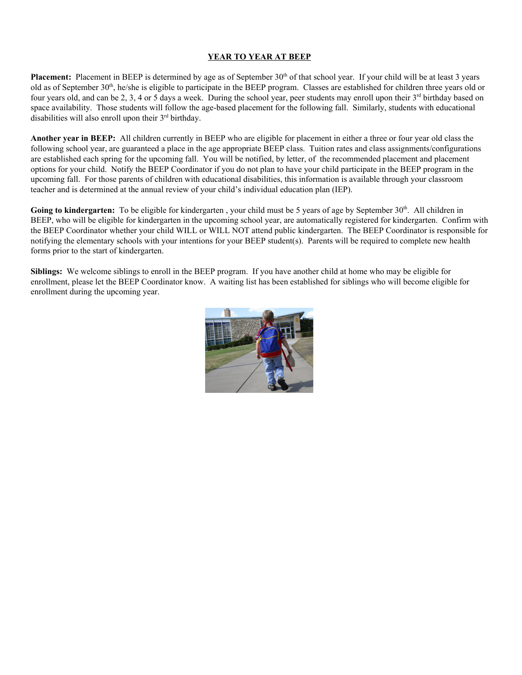# **YEAR TO YEAR AT BEEP**

**Placement:** Placement in BEEP is determined by age as of September 30<sup>th</sup> of that school year. If your child will be at least 3 years old as of September  $30<sup>th</sup>$ , he/she is eligible to participate in the BEEP program. Classes are established for children three years old or four years old, and can be 2, 3, 4 or 5 days a week. During the school year, peer students may enroll upon their 3<sup>rd</sup> birthday based on space availability. Those students will follow the age-based placement for the following fall. Similarly, students with educational disabilities will also enroll upon their 3<sup>rd</sup> birthday.

**Another year in BEEP:** All children currently in BEEP who are eligible for placement in either a three or four year old class the following school year, are guaranteed a place in the age appropriate BEEP class. Tuition rates and class assignments/configurations are established each spring for the upcoming fall. You will be notified, by letter, of the recommended placement and placement options for your child. Notify the BEEP Coordinator if you do not plan to have your child participate in the BEEP program in the upcoming fall. For those parents of children with educational disabilities, this information is available through your classroom teacher and is determined at the annual review of your child's individual education plan (IEP).

Going to kindergarten: To be eligible for kindergarten, your child must be 5 years of age by September 30<sup>th</sup>. All children in BEEP, who will be eligible for kindergarten in the upcoming school year, are automatically registered for kindergarten. Confirm with the BEEP Coordinator whether your child WILL or WILL NOT attend public kindergarten. The BEEP Coordinator is responsible for notifying the elementary schools with your intentions for your BEEP student(s). Parents will be required to complete new health forms prior to the start of kindergarten.

**Siblings:** We welcome siblings to enroll in the BEEP program. If you have another child at home who may be eligible for enrollment, please let the BEEP Coordinator know. A waiting list has been established for siblings who will become eligible for enrollment during the upcoming year.

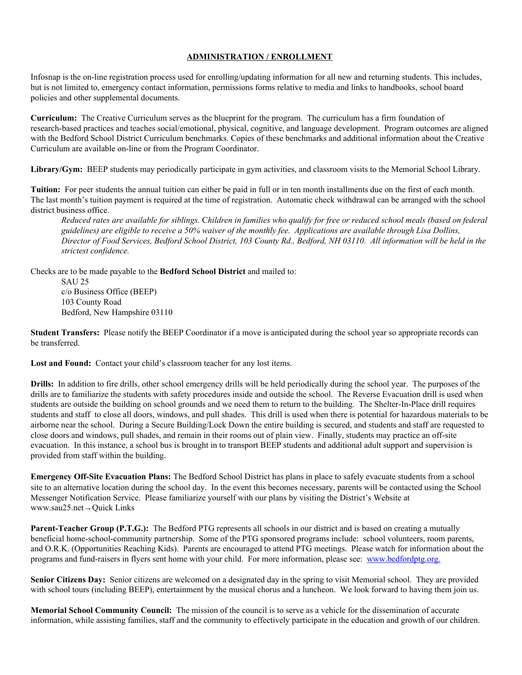# **ADMINISTRATION / ENROLLMENT**

Infosnap is the on-line registration process used for enrolling/updating information for all new and returning students. This includes, but is not limited to, emergency contact information, permissions forms relative to media and links to handbooks, school board policies and other supplemental documents.

**Curriculum:** The Creative Curriculum serves as the blueprint for the program. The curriculum has a firm foundation of research-based practices and teaches social/emotional, physical, cognitive, and language development. Program outcomes are aligned with the Bedford School District Curriculum benchmarks. Copies of these benchmarks and additional information about the Creative Curriculum are available on-line or from the Program Coordinator.

**Library/Gym:** BEEP students may periodically participate in gym activities, and classroom visits to the Memorial School Library.

**Tuition:** For peer students the annual tuition can either be paid in full or in ten month installments due on the first of each month. The last month's tuition payment is required at the time of registration. Automatic check withdrawal can be arranged with the school district business office.

Reduced rates are available for siblings. Children in families who qualify for free or reduced school meals (based on federal guidelines) are eligible to receive a 50% waiver of the monthly fee. Applications are available through Lisa Dollins, Director of Food Services, Bedford School District, 103 County Rd., Bedford, NH 03110. All information will be held in the *strictest confidence.*

Checks are to be made payable to the **Bedford School District** and mailed to:

SAU 25 c/o Business Office (BEEP) 103 County Road Bedford, New Hampshire 03110

**Student Transfers:** Please notify the BEEP Coordinator if a move is anticipated during the school year so appropriate records can be transferred.

**Lost and Found:** Contact your child's classroom teacher for any lost items.

**Drills:** In addition to fire drills, other school emergency drills will be held periodically during the school year. The purposes of the drills are to familiarize the students with safety procedures inside and outside the school. The Reverse Evacuation drill is used when students are outside the building on school grounds and we need them to return to the building. The Shelter-In-Place drill requires students and staff to close all doors, windows, and pull shades. This drill is used when there is potential for hazardous materials to be airborne near the school. During a Secure Building/Lock Down the entire building is secured, and students and staff are requested to close doors and windows, pull shades, and remain in their rooms out of plain view. Finally, students may practice an off-site evacuation. In this instance, a school bus is brought in to transport BEEP students and additional adult support and supervision is provided from staff within the building.

**Emergency Off-Site Evacuation Plans:** The Bedford School District has plans in place to safely evacuate students from a school site to an alternative location during the school day. In the event this becomes necessary, parents will be contacted using the School Messenger Notification Service. Please familiarize yourself with our plans by visiting the District's Website at www.sau25.net→Quick Links

**Parent-Teacher Group (P.T.G.):** The Bedford PTG represents all schools in our district and is based on creating a mutually beneficial home-school-community partnership. Some of the PTG sponsored programs include: school volunteers, room parents, and O.R.K. (Opportunities Reaching Kids). Parents are encouraged to attend PTG meetings. Please watch for information about the programs and fund-raisers in flyers sent home with your child. For more information, please see: www.bedfordptg.org.

**Senior Citizens Day:** Senior citizens are welcomed on a designated day in the spring to visit Memorial school. They are provided with school tours (including BEEP), entertainment by the musical chorus and a luncheon. We look forward to having them join us.

**Memorial School Community Council:** The mission of the council is to serve as a vehicle for the dissemination of accurate information, while assisting families, staff and the community to effectively participate in the education and growth of our children.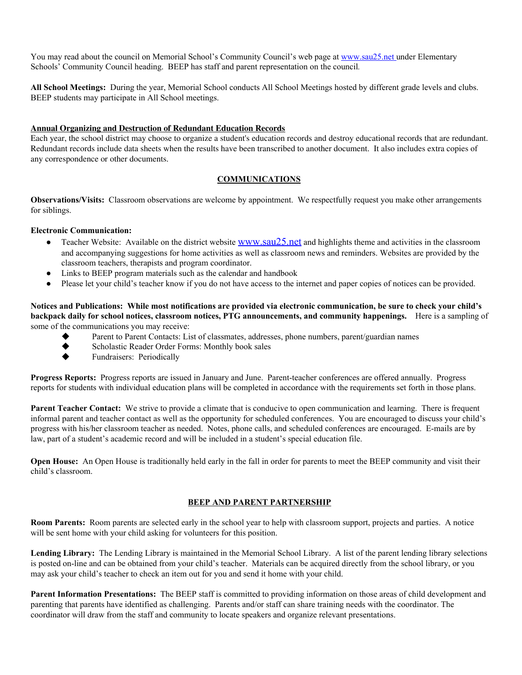You may read about the council on Memorial School's Community Council's web page at www.sau25.net under Elementary Schools' Community Council heading. BEEP has staff and parent representation on the council*.*

**All School Meetings:** During the year, Memorial School conducts All School Meetings hosted by different grade levels and clubs. BEEP students may participate in All School meetings.

## **Annual Organizing and Destruction of Redundant Education Records**

Each year, the school district may choose to organize a student's education records and destroy educational records that are redundant. Redundant records include data sheets when the results have been transcribed to another document. It also includes extra copies of any correspondence or other documents.

# **COMMUNICATIONS**

**Observations/Visits:** Classroom observations are welcome by appointment. We respectfully request you make other arrangements for siblings.

## **Electronic Communication:**

- Teacher Website: Available on the district website [www.sau25.net](http://www.sau25.net/) and highlights theme and activities in the classroom and accompanying suggestions for home activities as well as classroom news and reminders. Websites are provided by the classroom teachers, therapists and program coordinator.
- Links to BEEP program materials such as the calendar and handbook
- Please let your child's teacher know if you do not have access to the internet and paper copies of notices can be provided.

Notices and Publications: While most notifications are provided via electronic communication, be sure to check your child's **backpack daily for school notices, classroom notices, PTG announcements, and community happenings.** Here is a sampling of some of the communications you may receive:

- Parent to Parent Contacts: List of classmates, addresses, phone numbers, parent/guardian names
- ◆ Scholastic Reader Order Forms: Monthly book sales
- Fundraisers: Periodically

**Progress Reports:** Progress reports are issued in January and June. Parent-teacher conferences are offered annually. Progress reports for students with individual education plans will be completed in accordance with the requirements set forth in those plans.

**Parent Teacher Contact:** We strive to provide a climate that is conducive to open communication and learning. There is frequent informal parent and teacher contact as well as the opportunity for scheduled conferences. You are encouraged to discuss your child's progress with his/her classroom teacher as needed. Notes, phone calls, and scheduled conferences are encouraged. E-mails are by law, part of a student's academic record and will be included in a student's special education file.

**Open House:** An Open House is traditionally held early in the fall in order for parents to meet the BEEP community and visit their child's classroom.

## **BEEP AND PARENT PARTNERSHIP**

**Room Parents:** Room parents are selected early in the school year to help with classroom support, projects and parties. A notice will be sent home with your child asking for volunteers for this position.

**Lending Library:** The Lending Library is maintained in the Memorial School Library. A list of the parent lending library selections is posted on-line and can be obtained from your child's teacher. Materials can be acquired directly from the school library, or you may ask your child's teacher to check an item out for you and send it home with your child.

**Parent Information Presentations:** The BEEP staff is committed to providing information on those areas of child development and parenting that parents have identified as challenging. Parents and/or staff can share training needs with the coordinator. The coordinator will draw from the staff and community to locate speakers and organize relevant presentations.